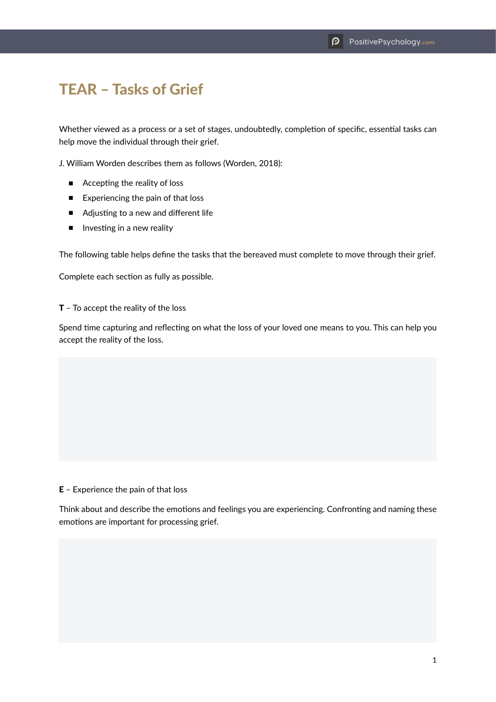## TEAR – Tasks of Grief

Whether viewed as a process or a set of stages, undoubtedly, completion of specific, essential tasks can help move the individual through their grief.

J. William Worden describes them as follows (Worden, 2018):

- Accepting the reality of loss
- Experiencing the pain of that loss
- Adjusting to a new and different life
- Investing in a new reality

The following table helps define the tasks that the bereaved must complete to move through their grief.

Complete each section as fully as possible.

T – To accept the reality of the loss

Spend time capturing and reflecting on what the loss of your loved one means to you. This can help you accept the reality of the loss.

## E – Experience the pain of that loss

Think about and describe the emotions and feelings you are experiencing. Confronting and naming these emotions are important for processing grief.